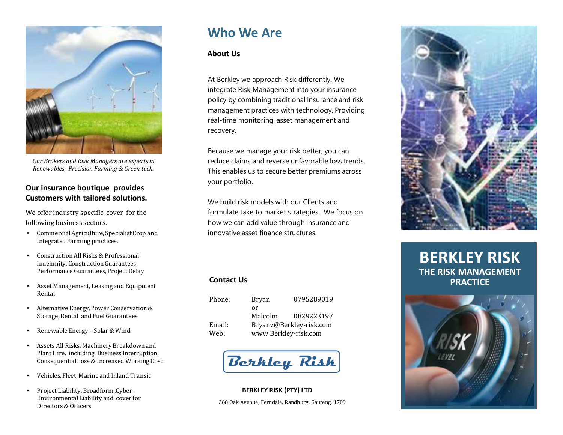

*Our Brokers and Risk Managers are experts in Renewables, Precision Farming & Green tech.*

## **Our insurance boutique provides Customers with tailored solutions.**

We offer industry specific cover for the following business sectors.

- Commercial Agriculture, Specialist Crop and Integrated Farming practices.
- Construction All Risks & Professional Indemnity, Construction Guarantees, Performance Guarantees, Project Delay
- Asset Management, Leasing and Equipment Rental
- Alternative Energy, Power Conservation & Storage, Rental and Fuel Guarantees
- Renewable Energy Solar & Wind
- Assets All Risks, Machinery Breakdown and Plant Hire. including Business Interruption, Consequential Loss & Increased Working Cost
- Vehicles, Fleet, Marine and Inland Transit
- Project Liability,Broadform ,Cyber . EnvironmentalLiability and cover for Directors & Officers

# **Who We Are**

## **About Us**

At Berkley we approach Risk differently. We integrate Risk Management into your insurance policy by combining traditional insurance and risk management practices with technology. Providing real-time monitoring, asset management and recovery.

Because we manage your risk better, you can reduce claims and reverse unfavorable loss trends. This enables us to secure better premiums across your portfolio.

We build risk models with our Clients and formulate take to market strategies. We focus on how we can add value through insurance and innovative asset finance structures.

| Phone: | Bryan                   | 0795289019 |
|--------|-------------------------|------------|
|        | or                      |            |
|        | Malcolm                 | 0829223197 |
| Email: | Bryanv@Berkley-risk.com |            |
| Web:   | www.Berkley-risk.com    |            |



**BERKLEY RISK (PTY) LTD** 368 Oak Avenue, Ferndale, Randburg, Gauteng, 1709



# **BERKLEY RISK THE RISK MANAGEMENT PRACTICE PRACTICE**